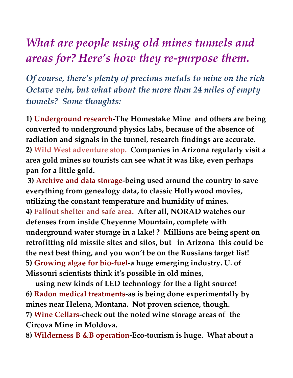## *What are people using old mines tunnels and areas for? Here's how they re-purpose them.*

*Of course, there's plenty of precious metals to mine on the rich Octave vein, but what about the more than 24 miles of empty tunnels? Some thoughts:* 

**1) Underground research-The Homestake Mine and others are being converted to underground physics labs, because of the absence of radiation and signals in the tunnel, research findings are accurate. 2) Wild West adventure stop. Companies in Arizona regularly visit a area gold mines so tourists can see what it was like, even perhaps pan for a little gold.** 

 **3) Archive and data storage-being used around the country to save everything from genealogy data, to classic Hollywood movies, utilizing the constant temperature and humidity of mines. 4) Fallout shelter and safe area. After all, NORAD watches our defenses from inside Cheyenne Mountain, complete with underground water storage in a lake! ? Millions are being spent on retrofitting old missile sites and silos, but in Arizona this could be the next best thing, and you won't be on the Russians target list! 5) Growing algae for bio-fuel-a huge emerging industry. U. of Missouri scientists think it's possible in old mines,** 

 **using new kinds of LED technology for the a light source! 6) Radon medical treatments-as is being done experimentally by mines near Helena, Montana. Not proven science, though. 7) Wine Cellars-check out the noted wine storage areas of the Circova Mine in Moldova.** 

**8) Wilderness B &B operation-Eco-tourism is huge. What about a**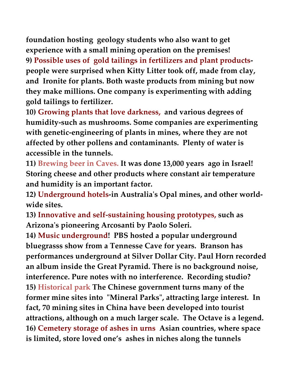**foundation hosting geology students who also want to get experience with a small mining operation on the premises! 9) Possible uses of gold tailings in fertilizers and plant productspeople were surprised when Kitty Litter took off, made from clay, and Ironite for plants. Both waste products from mining but now they make millions. One company is experimenting with adding gold tailings to fertilizer.** 

**10) Growing plants that love darkness, and various degrees of humidity-such as mushrooms. Some companies are experimenting with genetic-engineering of plants in mines, where they are not affected by other pollens and contaminants. Plenty of water is accessible in the tunnels.** 

**11) Brewing beer in Caves. It was done 13,000 years ago in Israel! Storing cheese and other products where constant air temperature and humidity is an important factor.** 

**12) Underground hotels-in Australia's Opal mines, and other worldwide sites.** 

**13) Innovative and self-sustaining housing prototypes, such as Arizona's pioneering Arcosanti by Paolo Soleri.** 

**14) Music underground! PBS hosted a popular underground bluegrasss show from a Tennesse Cave for years. Branson has performances underground at Silver Dollar City. Paul Horn recorded an album inside the Great Pyramid. There is no background noise, interference. Pure notes with no interference. Recording studio? 15) Historical park The Chinese government turns many of the former mine sites into "Mineral Parks", attracting large interest. In fact, 70 mining sites in China have been developed into tourist attractions, although on a much larger scale. The Octave is a legend. 16) Cemetery storage of ashes in urns Asian countries, where space is limited, store loved one's ashes in niches along the tunnels**